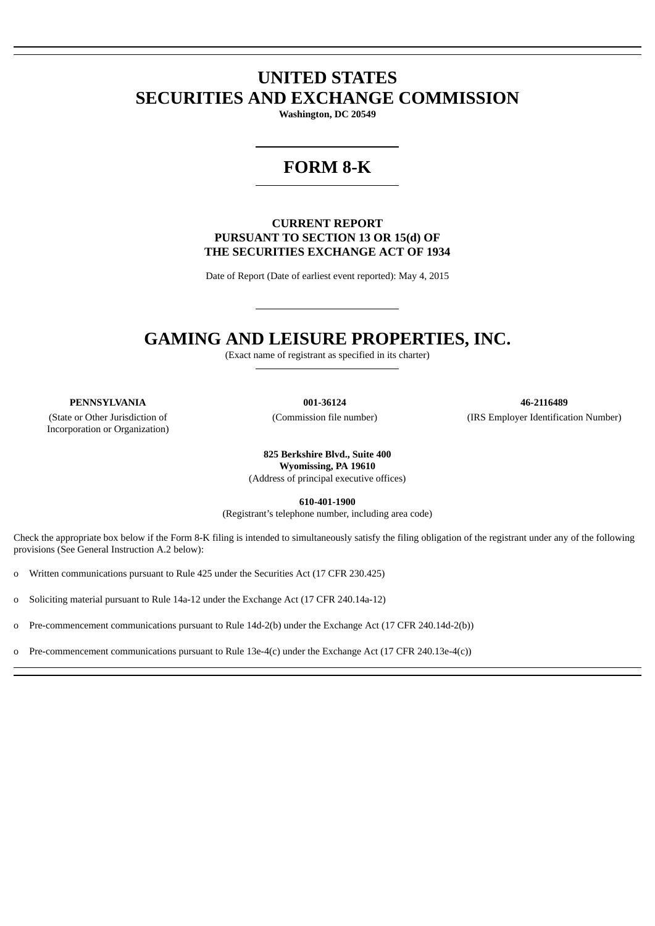# **UNITED STATES SECURITIES AND EXCHANGE COMMISSION**

**Washington, DC 20549**

# **FORM 8-K**

## **CURRENT REPORT PURSUANT TO SECTION 13 OR 15(d) OF THE SECURITIES EXCHANGE ACT OF 1934**

Date of Report (Date of earliest event reported): May 4, 2015

# **GAMING AND LEISURE PROPERTIES, INC.**

(Exact name of registrant as specified in its charter)

(State or Other Jurisdiction of Incorporation or Organization)

**PENNSYLVANIA 001-36124 46-2116489** (Commission file number) (IRS Employer Identification Number)

> **825 Berkshire Blvd., Suite 400 Wyomissing, PA 19610** (Address of principal executive offices)

> > **610-401-1900**

(Registrant's telephone number, including area code)

Check the appropriate box below if the Form 8-K filing is intended to simultaneously satisfy the filing obligation of the registrant under any of the following provisions (See General Instruction A.2 below):

o Written communications pursuant to Rule 425 under the Securities Act (17 CFR 230.425)

o Soliciting material pursuant to Rule 14a-12 under the Exchange Act (17 CFR 240.14a-12)

o Pre-commencement communications pursuant to Rule 14d-2(b) under the Exchange Act (17 CFR 240.14d-2(b))

o Pre-commencement communications pursuant to Rule 13e-4(c) under the Exchange Act (17 CFR 240.13e-4(c))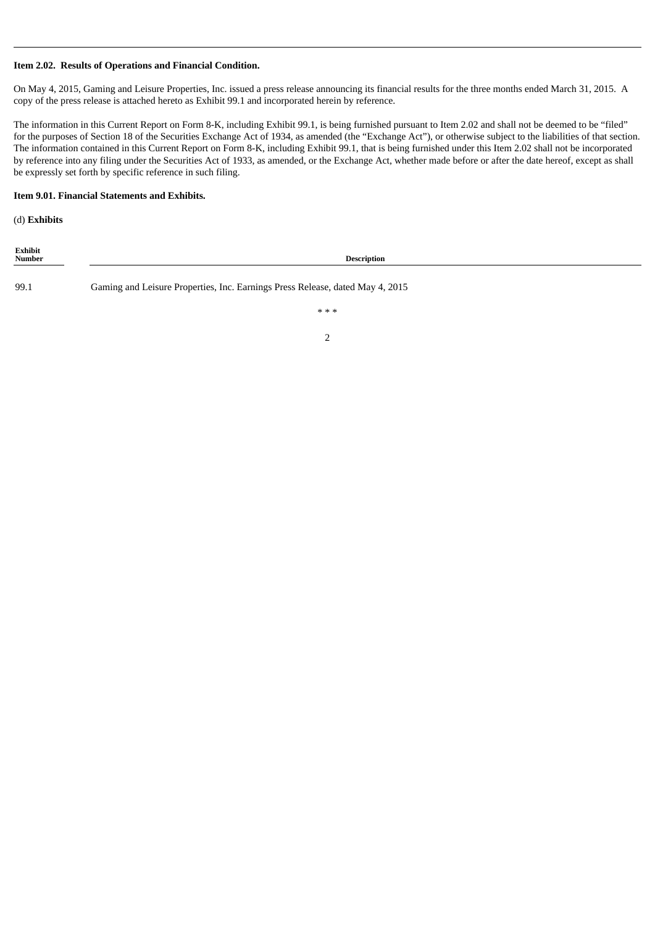#### **Item 2.02. Results of Operations and Financial Condition.**

On May 4, 2015, Gaming and Leisure Properties, Inc. issued a press release announcing its financial results for the three months ended March 31, 2015. A copy of the press release is attached hereto as Exhibit 99.1 and incorporated herein by reference.

The information in this Current Report on Form 8-K, including Exhibit 99.1, is being furnished pursuant to Item 2.02 and shall not be deemed to be "filed" for the purposes of Section 18 of the Securities Exchange Act of 1934, as amended (the "Exchange Act"), or otherwise subject to the liabilities of that section. The information contained in this Current Report on Form 8-K, including Exhibit 99.1, that is being furnished under this Item 2.02 shall not be incorporated by reference into any filing under the Securities Act of 1933, as amended, or the Exchange Act, whether made before or after the date hereof, except as shall be expressly set forth by specific reference in such filing.

#### **Item 9.01. Financial Statements and Exhibits.**

(d) **Exhibits**

| Exhibit<br>Number | Description                                                                   |
|-------------------|-------------------------------------------------------------------------------|
| 99.1              | Gaming and Leisure Properties, Inc. Earnings Press Release, dated May 4, 2015 |
|                   | ***                                                                           |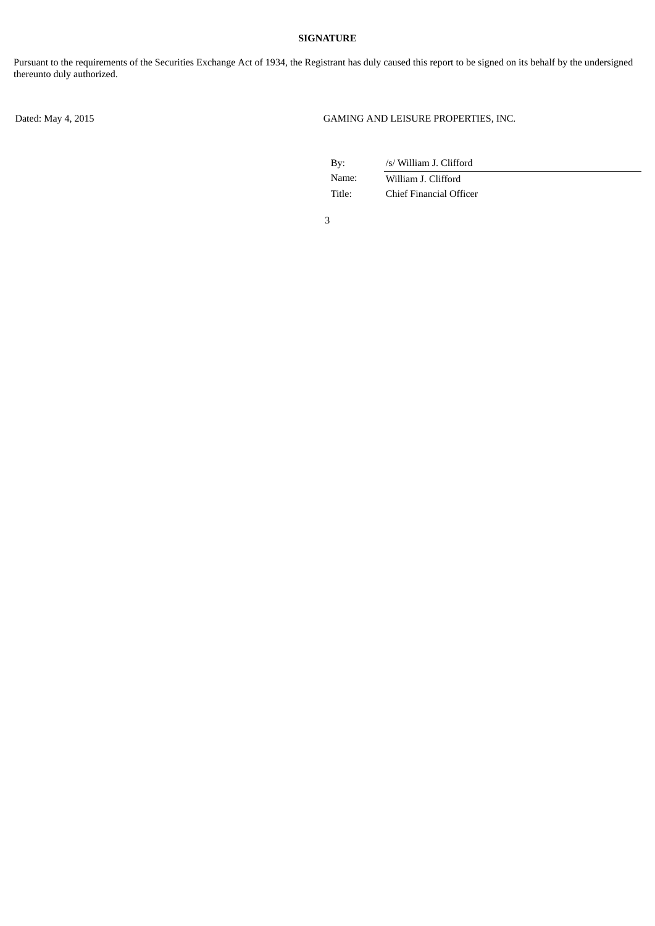#### **SIGNATURE**

Pursuant to the requirements of the Securities Exchange Act of 1934, the Registrant has duly caused this report to be signed on its behalf by the undersigned thereunto duly authorized.

Dated: May 4, 2015 GAMING AND LEISURE PROPERTIES, INC.

By: /s/ William J. Clifford Name: William J. Clifford Title: Chief Financial Officer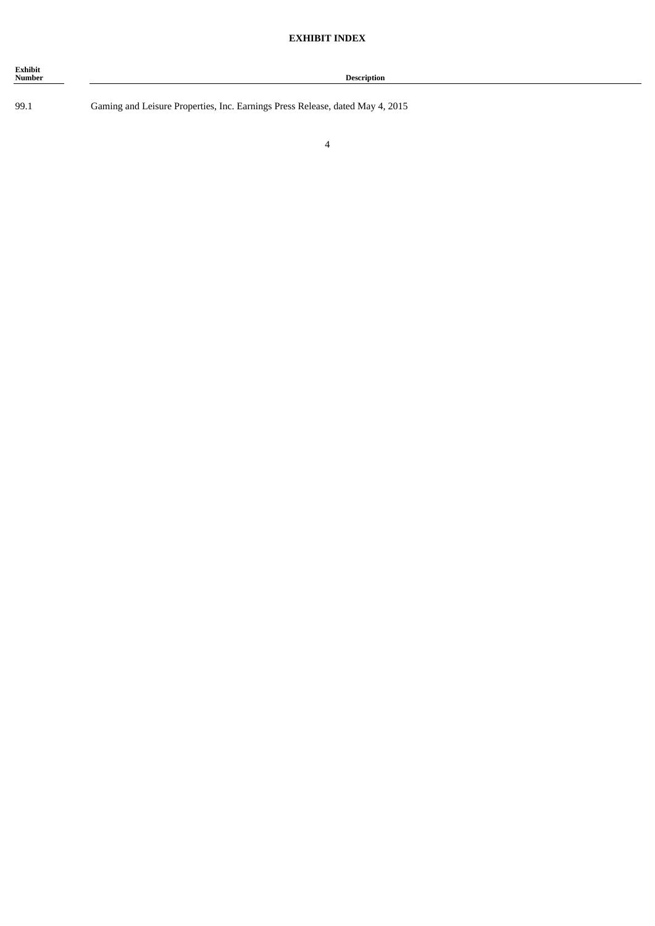| <b>Exhibit</b><br><b>Number</b> | <b>Description</b> |  |
|---------------------------------|--------------------|--|
|                                 |                    |  |

99.1 Gaming and Leisure Properties, Inc. Earnings Press Release, dated May 4, 2015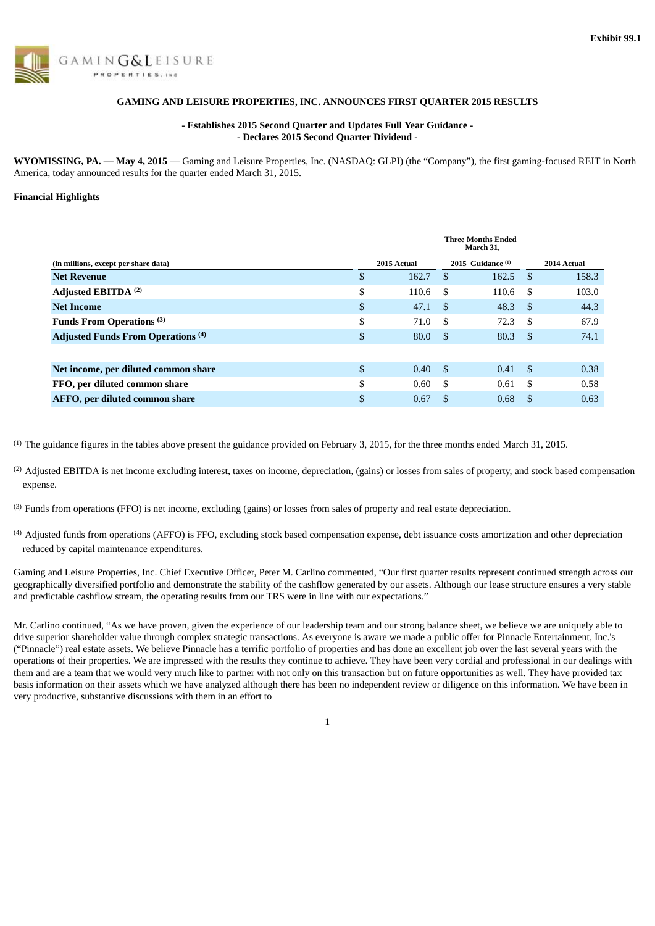

#### **GAMING AND LEISURE PROPERTIES, INC. ANNOUNCES FIRST QUARTER 2015 RESULTS**

#### **- Establishes 2015 Second Quarter and Updates Full Year Guidance - - Declares 2015 Second Quarter Dividend -**

**WYOMISSING, PA. — May 4, 2015** — Gaming and Leisure Properties, Inc. (NASDAQ: GLPI) (the "Company"), the first gaming-focused REIT in North America, today announced results for the quarter ended March 31, 2015.

#### **Financial Highlights**

| Three Months Ended<br>March 31, |             |               |       |                   |              |  |
|---------------------------------|-------------|---------------|-------|-------------------|--------------|--|
|                                 | 2015 Actual |               |       |                   | 2014 Actual  |  |
| \$                              | 162.7       | <sup>\$</sup> | 162.5 |                   | 158.3        |  |
| \$                              | 110.6       | - \$          | 110.6 | - \$              | 103.0        |  |
| \$                              | 47.1        | -S            | 48.3  | - \$              | 44.3         |  |
| \$                              | 71.0        | -S            | 72.3  | -S                | 67.9         |  |
| \$                              | 80.0        | -S            | 80.3  | - \$              | 74.1         |  |
|                                 |             |               |       |                   |              |  |
| $\boldsymbol{\mathsf{S}}$       | 0.40        | -S            | 0.41  |                   | 0.38         |  |
| \$                              | 0.60        | S             | 0.61  | \$.               | 0.58         |  |
| \$                              | 0.67        | \$.           | 0.68  | \$.               | 0.63         |  |
|                                 |             |               |       | 2015 Guidance (1) | - \$<br>- \$ |  |

 $<sup>(1)</sup>$  The guidance figures in the tables above present the guidance provided on February 3, 2015, for the three months ended March 31, 2015.</sup>

<sup>(2)</sup> Adjusted EBITDA is net income excluding interest, taxes on income, depreciation, (gains) or losses from sales of property, and stock based compensation expense.

(3) Funds from operations (FFO) is net income, excluding (gains) or losses from sales of property and real estate depreciation.

<sup>(4)</sup> Adjusted funds from operations (AFFO) is FFO, excluding stock based compensation expense, debt issuance costs amortization and other depreciation reduced by capital maintenance expenditures.

Gaming and Leisure Properties, Inc. Chief Executive Officer, Peter M. Carlino commented, "Our first quarter results represent continued strength across our geographically diversified portfolio and demonstrate the stability of the cashflow generated by our assets. Although our lease structure ensures a very stable and predictable cashflow stream, the operating results from our TRS were in line with our expectations."

Mr. Carlino continued, "As we have proven, given the experience of our leadership team and our strong balance sheet, we believe we are uniquely able to drive superior shareholder value through complex strategic transactions. As everyone is aware we made a public offer for Pinnacle Entertainment, Inc.'s ("Pinnacle") real estate assets. We believe Pinnacle has a terrific portfolio of properties and has done an excellent job over the last several years with the operations of their properties. We are impressed with the results they continue to achieve. They have been very cordial and professional in our dealings with them and are a team that we would very much like to partner with not only on this transaction but on future opportunities as well. They have provided tax basis information on their assets which we have analyzed although there has been no independent review or diligence on this information. We have been in very productive, substantive discussions with them in an effort to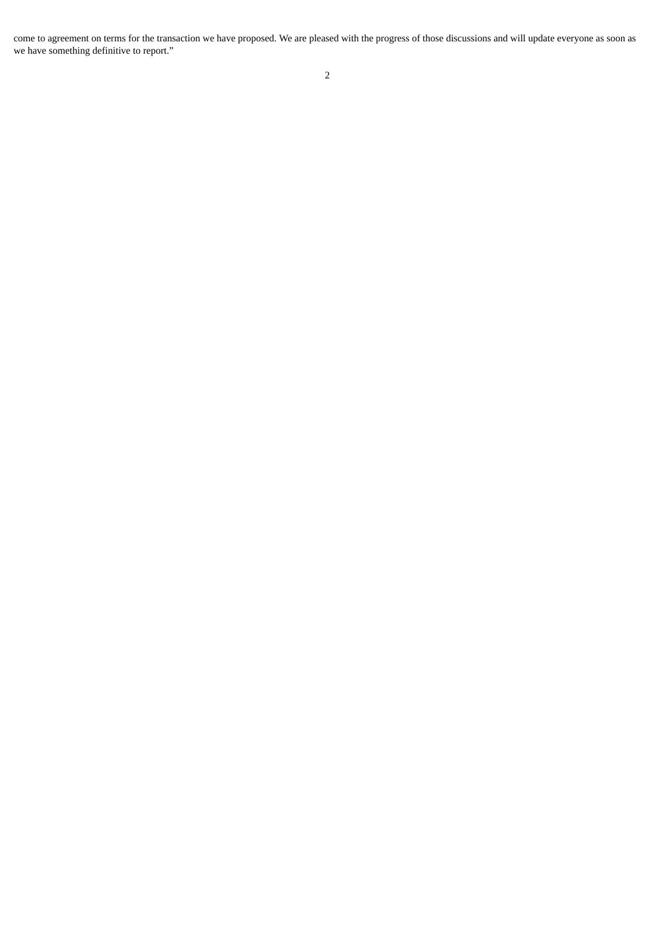come to agreement on terms for the transaction we have proposed. We are pleased with the progress of those discussions and will update everyone as soon as we have something definitive to report."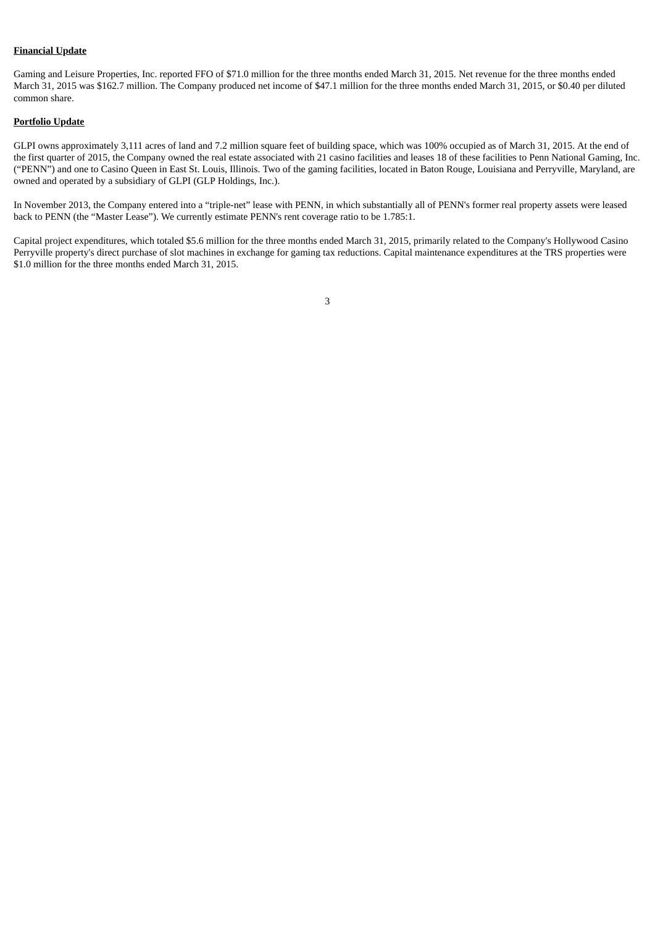#### **Financial Update**

Gaming and Leisure Properties, Inc. reported FFO of \$71.0 million for the three months ended March 31, 2015. Net revenue for the three months ended March 31, 2015 was \$162.7 million. The Company produced net income of \$47.1 million for the three months ended March 31, 2015, or \$0.40 per diluted common share.

#### **Portfolio Update**

GLPI owns approximately 3,111 acres of land and 7.2 million square feet of building space, which was 100% occupied as of March 31, 2015. At the end of the first quarter of 2015, the Company owned the real estate associated with 21 casino facilities and leases 18 of these facilities to Penn National Gaming, Inc. ("PENN") and one to Casino Queen in East St. Louis, Illinois. Two of the gaming facilities, located in Baton Rouge, Louisiana and Perryville, Maryland, are owned and operated by a subsidiary of GLPI (GLP Holdings, Inc.).

In November 2013, the Company entered into a "triple-net" lease with PENN, in which substantially all of PENN's former real property assets were leased back to PENN (the "Master Lease"). We currently estimate PENN's rent coverage ratio to be 1.785:1.

Capital project expenditures, which totaled \$5.6 million for the three months ended March 31, 2015, primarily related to the Company's Hollywood Casino Perryville property's direct purchase of slot machines in exchange for gaming tax reductions. Capital maintenance expenditures at the TRS properties were \$1.0 million for the three months ended March 31, 2015.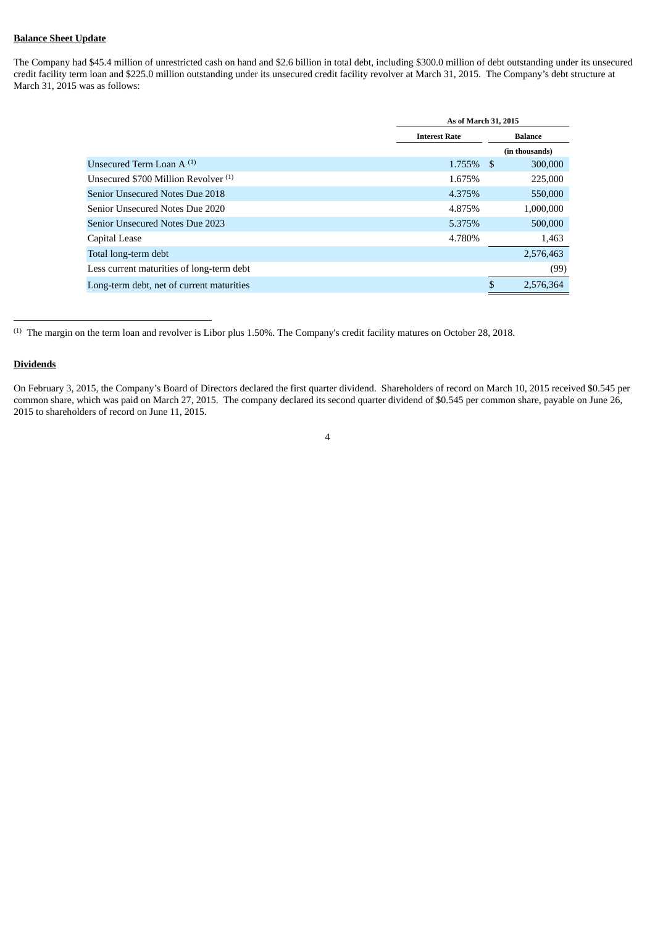#### **Balance Sheet Update**

The Company had \$45.4 million of unrestricted cash on hand and \$2.6 billion in total debt, including \$300.0 million of debt outstanding under its unsecured credit facility term loan and \$225.0 million outstanding under its unsecured credit facility revolver at March 31, 2015. The Company's debt structure at March 31, 2015 was as follows:

|                                                 | As of March 31, 2015 |  |                |  |  |
|-------------------------------------------------|----------------------|--|----------------|--|--|
|                                                 | <b>Interest Rate</b> |  | <b>Balance</b> |  |  |
|                                                 |                      |  | (in thousands) |  |  |
| Unsecured Term Loan $A^{(1)}$                   | $1.755\%$ \$         |  | 300,000        |  |  |
| Unsecured \$700 Million Revolver <sup>(1)</sup> | 1.675%               |  | 225,000        |  |  |
| Senior Unsecured Notes Due 2018                 | 4.375%               |  | 550,000        |  |  |
| Senior Unsecured Notes Due 2020                 | 4.875%               |  | 1,000,000      |  |  |
| <b>Senior Unsecured Notes Due 2023</b>          | 5.375%               |  | 500,000        |  |  |
| Capital Lease                                   | 4.780%               |  | 1,463          |  |  |
| Total long-term debt                            |                      |  | 2,576,463      |  |  |
| Less current maturities of long-term debt       |                      |  | (99)           |  |  |
| Long-term debt, net of current maturities       |                      |  | 2,576,364      |  |  |

 $(1)$  The margin on the term loan and revolver is Libor plus 1.50%. The Company's credit facility matures on October 28, 2018.

#### **Dividends**

On February 3, 2015, the Company's Board of Directors declared the first quarter dividend. Shareholders of record on March 10, 2015 received \$0.545 per common share, which was paid on March 27, 2015. The company declared its second quarter dividend of \$0.545 per common share, payable on June 26, 2015 to shareholders of record on June 11, 2015.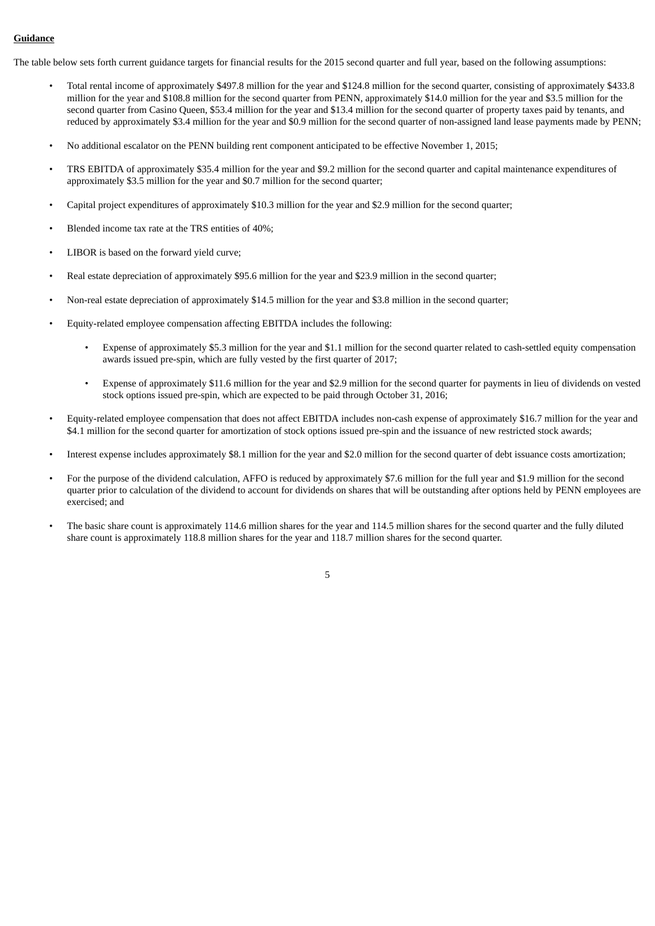#### **Guidance**

The table below sets forth current guidance targets for financial results for the 2015 second quarter and full year, based on the following assumptions:

- Total rental income of approximately \$497.8 million for the year and \$124.8 million for the second quarter, consisting of approximately \$433.8 million for the year and \$108.8 million for the second quarter from PENN, approximately \$14.0 million for the year and \$3.5 million for the second quarter from Casino Queen, \$53.4 million for the year and \$13.4 million for the second quarter of property taxes paid by tenants, and reduced by approximately \$3.4 million for the year and \$0.9 million for the second quarter of non-assigned land lease payments made by PENN;
- No additional escalator on the PENN building rent component anticipated to be effective November 1, 2015;
- TRS EBITDA of approximately \$35.4 million for the year and \$9.2 million for the second quarter and capital maintenance expenditures of approximately \$3.5 million for the year and \$0.7 million for the second quarter;
- Capital project expenditures of approximately \$10.3 million for the year and \$2.9 million for the second quarter;
- Blended income tax rate at the TRS entities of 40%;
- LIBOR is based on the forward yield curve;
- Real estate depreciation of approximately \$95.6 million for the year and \$23.9 million in the second quarter;
- Non-real estate depreciation of approximately \$14.5 million for the year and \$3.8 million in the second quarter;
- Equity-related employee compensation affecting EBITDA includes the following:
	- Expense of approximately \$5.3 million for the year and \$1.1 million for the second quarter related to cash-settled equity compensation awards issued pre-spin, which are fully vested by the first quarter of 2017;
	- Expense of approximately \$11.6 million for the year and \$2.9 million for the second quarter for payments in lieu of dividends on vested stock options issued pre-spin, which are expected to be paid through October 31, 2016;
- Equity-related employee compensation that does not affect EBITDA includes non-cash expense of approximately \$16.7 million for the year and \$4.1 million for the second quarter for amortization of stock options issued pre-spin and the issuance of new restricted stock awards;
- Interest expense includes approximately \$8.1 million for the year and \$2.0 million for the second quarter of debt issuance costs amortization;
- For the purpose of the dividend calculation, AFFO is reduced by approximately \$7.6 million for the full year and \$1.9 million for the second quarter prior to calculation of the dividend to account for dividends on shares that will be outstanding after options held by PENN employees are exercised; and
- The basic share count is approximately 114.6 million shares for the year and 114.5 million shares for the second quarter and the fully diluted share count is approximately 118.8 million shares for the year and 118.7 million shares for the second quarter.
	- 5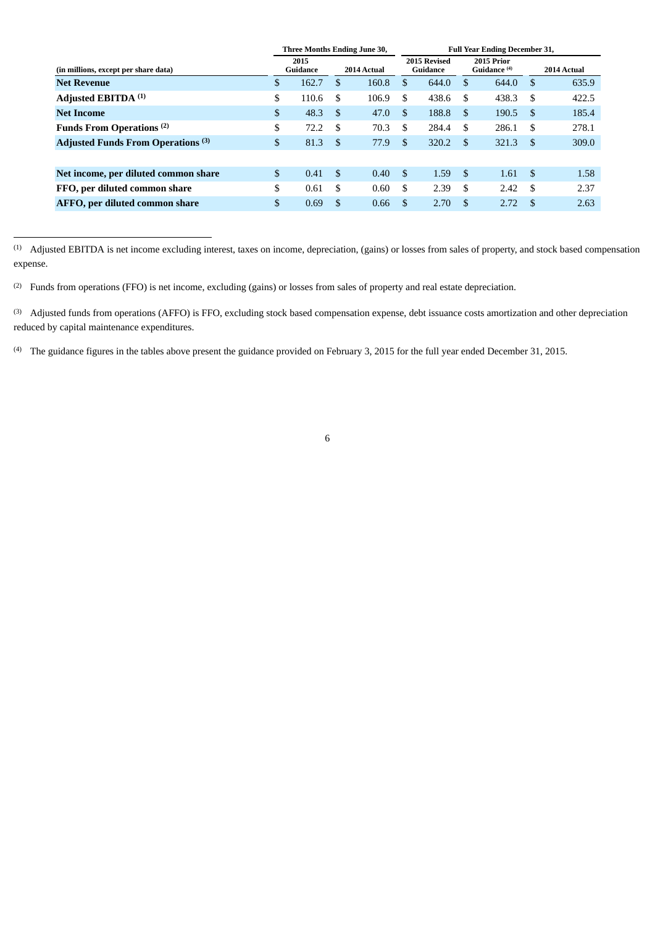|                                           | Three Months Ending June 30,<br><b>Full Year Ending December 31,</b> |       |             |       |                          |       |                                       |       |             |       |
|-------------------------------------------|----------------------------------------------------------------------|-------|-------------|-------|--------------------------|-------|---------------------------------------|-------|-------------|-------|
| (in millions, except per share data)      | 2015<br>Guidance                                                     |       | 2014 Actual |       | 2015 Revised<br>Guidance |       | 2015 Prior<br>Guidance <sup>(4)</sup> |       | 2014 Actual |       |
| <b>Net Revenue</b>                        | \$                                                                   | 162.7 | S           | 160.8 | \$                       | 644.0 | \$.                                   | 644.0 | -S          | 635.9 |
| Adjusted EBITDA <sup>(1)</sup>            | \$                                                                   | 110.6 | -S          | 106.9 | \$                       | 438.6 | \$                                    | 438.3 | \$.         | 422.5 |
| <b>Net Income</b>                         | $\mathfrak{S}$                                                       | 48.3  | - \$        | 47.0  | \$.                      | 188.8 | -\$                                   | 190.5 | \$.         | 185.4 |
| Funds From Operations <sup>(2)</sup>      | \$                                                                   | 72.2  | -S          | 70.3  | \$                       | 284.4 | \$                                    | 286.1 | \$.         | 278.1 |
| <b>Adjusted Funds From Operations (3)</b> | $\boldsymbol{\mathsf{S}}$                                            | 81.3  | - \$        | 77.9  | \$                       | 320.2 | <sup>\$</sup>                         | 321.3 | -\$         | 309.0 |
|                                           |                                                                      |       |             |       |                          |       |                                       |       |             |       |
| Net income, per diluted common share      | \$                                                                   | 0.41  | - \$        | 0.40  | \$                       | 1.59  | -\$                                   | 1.61  | -\$         | 1.58  |
| FFO, per diluted common share             | \$                                                                   | 0.61  | - \$        | 0.60  | \$                       | 2.39  | - \$                                  | 2.42  | -\$         | 2.37  |
| AFFO, per diluted common share            | \$                                                                   | 0.69  | S           | 0.66  | \$                       | 2.70  | S                                     | 2.72  | \$.         | 2.63  |
|                                           |                                                                      |       |             |       |                          |       |                                       |       |             |       |

 $<sup>(1)</sup>$  Adjusted EBITDA is net income excluding interest, taxes on income, depreciation, (gains) or losses from sales of property, and stock based compensation</sup> expense.

(2) Funds from operations (FFO) is net income, excluding (gains) or losses from sales of property and real estate depreciation.

<sup>(3)</sup> Adjusted funds from operations (AFFO) is FFO, excluding stock based compensation expense, debt issuance costs amortization and other depreciation reduced by capital maintenance expenditures.

<sup>(4)</sup> The guidance figures in the tables above present the guidance provided on February 3, 2015 for the full year ended December 31, 2015.

<sup>6</sup>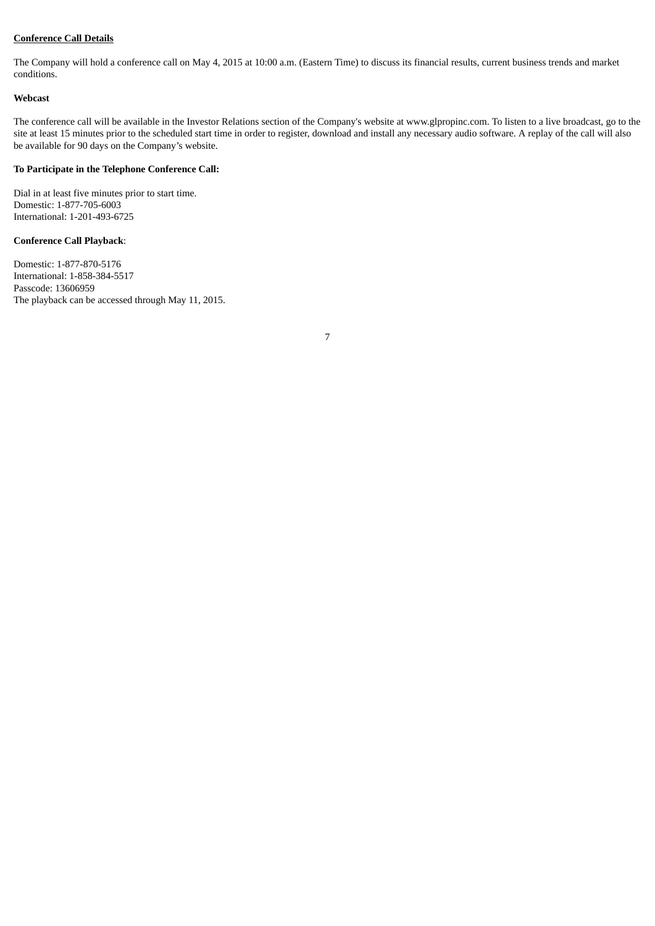### **Conference Call Details**

The Company will hold a conference call on May 4, 2015 at 10:00 a.m. (Eastern Time) to discuss its financial results, current business trends and market conditions.

#### **Webcast**

The conference call will be available in the Investor Relations section of the Company's website at www.glpropinc.com. To listen to a live broadcast, go to the site at least 15 minutes prior to the scheduled start time in order to register, download and install any necessary audio software. A replay of the call will also be available for 90 days on the Company's website.

#### **To Participate in the Telephone Conference Call:**

Dial in at least five minutes prior to start time. Domestic: 1-877-705-6003 International: 1-201-493-6725

#### **Conference Call Playback**:

Domestic: 1-877-870-5176 International: 1-858-384-5517 Passcode: 13606959 The playback can be accessed through May 11, 2015.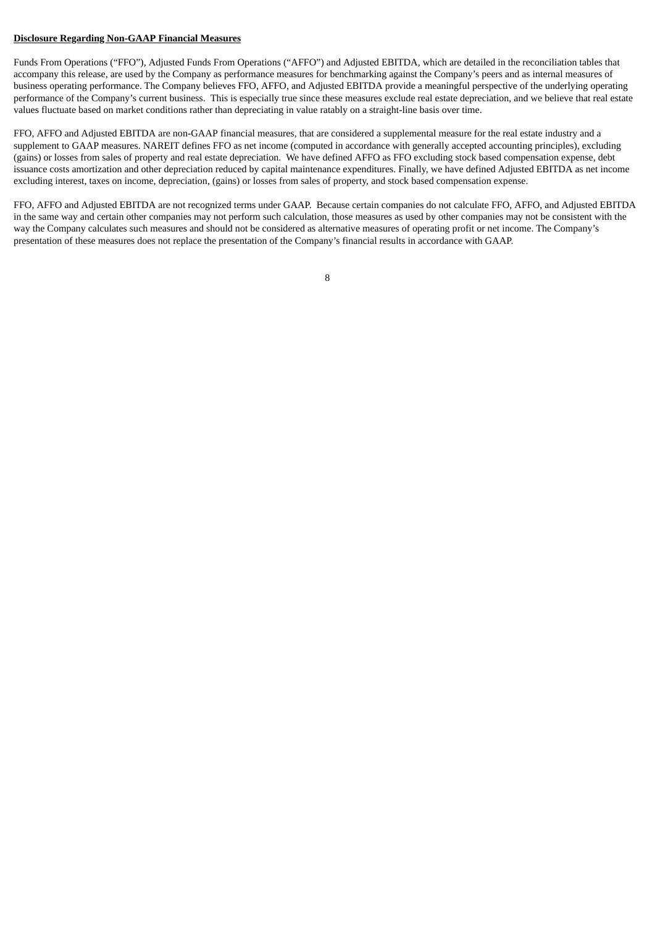#### **Disclosure Regarding Non-GAAP Financial Measures**

Funds From Operations ("FFO"), Adjusted Funds From Operations ("AFFO") and Adjusted EBITDA, which are detailed in the reconciliation tables that accompany this release, are used by the Company as performance measures for benchmarking against the Company's peers and as internal measures of business operating performance. The Company believes FFO, AFFO, and Adjusted EBITDA provide a meaningful perspective of the underlying operating performance of the Company's current business. This is especially true since these measures exclude real estate depreciation, and we believe that real estate values fluctuate based on market conditions rather than depreciating in value ratably on a straight-line basis over time.

FFO, AFFO and Adjusted EBITDA are non-GAAP financial measures, that are considered a supplemental measure for the real estate industry and a supplement to GAAP measures. NAREIT defines FFO as net income (computed in accordance with generally accepted accounting principles), excluding (gains) or losses from sales of property and real estate depreciation. We have defined AFFO as FFO excluding stock based compensation expense, debt issuance costs amortization and other depreciation reduced by capital maintenance expenditures. Finally, we have defined Adjusted EBITDA as net income excluding interest, taxes on income, depreciation, (gains) or losses from sales of property, and stock based compensation expense.

FFO, AFFO and Adjusted EBITDA are not recognized terms under GAAP. Because certain companies do not calculate FFO, AFFO, and Adjusted EBITDA in the same way and certain other companies may not perform such calculation, those measures as used by other companies may not be consistent with the way the Company calculates such measures and should not be considered as alternative measures of operating profit or net income. The Company's presentation of these measures does not replace the presentation of the Company's financial results in accordance with GAAP.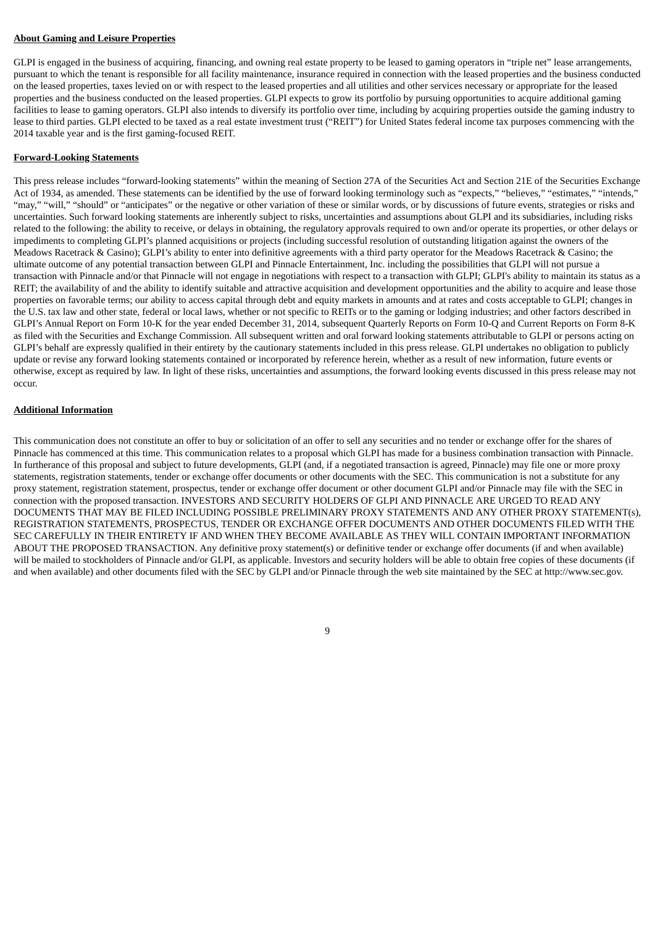#### **About Gaming and Leisure Properties**

GLPI is engaged in the business of acquiring, financing, and owning real estate property to be leased to gaming operators in "triple net" lease arrangements, pursuant to which the tenant is responsible for all facility maintenance, insurance required in connection with the leased properties and the business conducted on the leased properties, taxes levied on or with respect to the leased properties and all utilities and other services necessary or appropriate for the leased properties and the business conducted on the leased properties. GLPI expects to grow its portfolio by pursuing opportunities to acquire additional gaming facilities to lease to gaming operators. GLPI also intends to diversify its portfolio over time, including by acquiring properties outside the gaming industry to lease to third parties. GLPI elected to be taxed as a real estate investment trust ("REIT") for United States federal income tax purposes commencing with the 2014 taxable year and is the first gaming-focused REIT.

#### **Forward-Looking Statements**

This press release includes "forward-looking statements" within the meaning of Section 27A of the Securities Act and Section 21E of the Securities Exchange Act of 1934, as amended. These statements can be identified by the use of forward looking terminology such as "expects," "believes," "estimates," "intends," "may," "will," "should" or "anticipates" or the negative or other variation of these or similar words, or by discussions of future events, strategies or risks and uncertainties. Such forward looking statements are inherently subject to risks, uncertainties and assumptions about GLPI and its subsidiaries, including risks related to the following: the ability to receive, or delays in obtaining, the regulatory approvals required to own and/or operate its properties, or other delays or impediments to completing GLPI's planned acquisitions or projects (including successful resolution of outstanding litigation against the owners of the Meadows Racetrack & Casino); GLPI's ability to enter into definitive agreements with a third party operator for the Meadows Racetrack & Casino; the ultimate outcome of any potential transaction between GLPI and Pinnacle Entertainment, Inc. including the possibilities that GLPI will not pursue a transaction with Pinnacle and/or that Pinnacle will not engage in negotiations with respect to a transaction with GLPI; GLPI's ability to maintain its status as a REIT; the availability of and the ability to identify suitable and attractive acquisition and development opportunities and the ability to acquire and lease those properties on favorable terms; our ability to access capital through debt and equity markets in amounts and at rates and costs acceptable to GLPI; changes in the U.S. tax law and other state, federal or local laws, whether or not specific to REITs or to the gaming or lodging industries; and other factors described in GLPI's Annual Report on Form 10-K for the year ended December 31, 2014, subsequent Quarterly Reports on Form 10-Q and Current Reports on Form 8-K as filed with the Securities and Exchange Commission. All subsequent written and oral forward looking statements attributable to GLPI or persons acting on GLPI's behalf are expressly qualified in their entirety by the cautionary statements included in this press release. GLPI undertakes no obligation to publicly update or revise any forward looking statements contained or incorporated by reference herein, whether as a result of new information, future events or otherwise, except as required by law. In light of these risks, uncertainties and assumptions, the forward looking events discussed in this press release may not occur.

#### **Additional Information**

This communication does not constitute an offer to buy or solicitation of an offer to sell any securities and no tender or exchange offer for the shares of Pinnacle has commenced at this time. This communication relates to a proposal which GLPI has made for a business combination transaction with Pinnacle. In furtherance of this proposal and subject to future developments, GLPI (and, if a negotiated transaction is agreed, Pinnacle) may file one or more proxy statements, registration statements, tender or exchange offer documents or other documents with the SEC. This communication is not a substitute for any proxy statement, registration statement, prospectus, tender or exchange offer document or other document GLPI and/or Pinnacle may file with the SEC in connection with the proposed transaction. INVESTORS AND SECURITY HOLDERS OF GLPI AND PINNACLE ARE URGED TO READ ANY DOCUMENTS THAT MAY BE FILED INCLUDING POSSIBLE PRELIMINARY PROXY STATEMENTS AND ANY OTHER PROXY STATEMENT(s), REGISTRATION STATEMENTS, PROSPECTUS, TENDER OR EXCHANGE OFFER DOCUMENTS AND OTHER DOCUMENTS FILED WITH THE SEC CAREFULLY IN THEIR ENTIRETY IF AND WHEN THEY BECOME AVAILABLE AS THEY WILL CONTAIN IMPORTANT INFORMATION ABOUT THE PROPOSED TRANSACTION. Any definitive proxy statement(s) or definitive tender or exchange offer documents (if and when available) will be mailed to stockholders of Pinnacle and/or GLPI, as applicable. Investors and security holders will be able to obtain free copies of these documents (if and when available) and other documents filed with the SEC by GLPI and/or Pinnacle through the web site maintained by the SEC at http://www.sec.gov.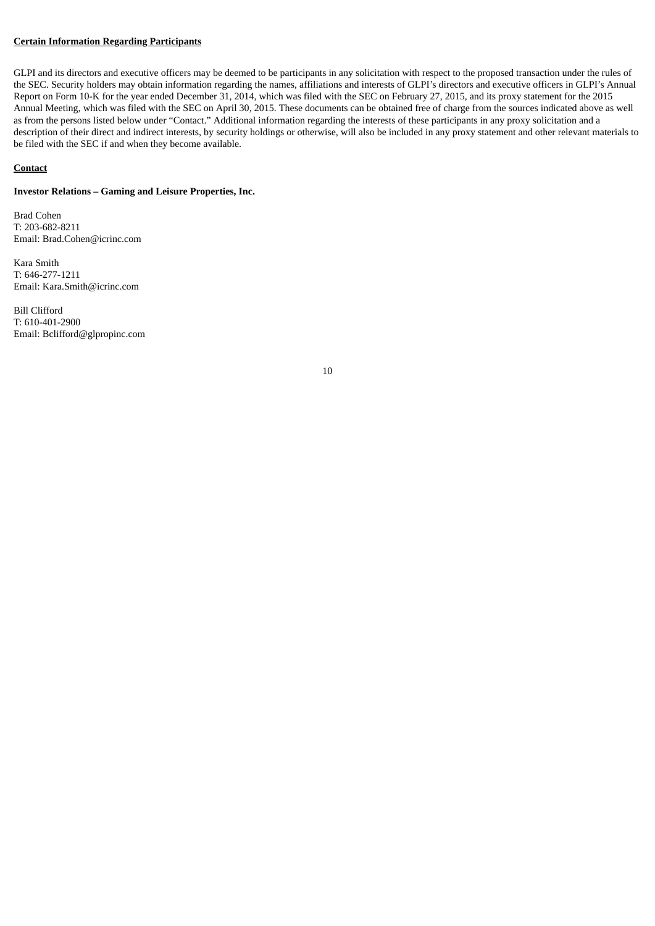#### **Certain Information Regarding Participants**

GLPI and its directors and executive officers may be deemed to be participants in any solicitation with respect to the proposed transaction under the rules of the SEC. Security holders may obtain information regarding the names, affiliations and interests of GLPI's directors and executive officers in GLPI's Annual Report on Form 10-K for the year ended December 31, 2014, which was filed with the SEC on February 27, 2015, and its proxy statement for the 2015 Annual Meeting, which was filed with the SEC on April 30, 2015. These documents can be obtained free of charge from the sources indicated above as well as from the persons listed below under "Contact." Additional information regarding the interests of these participants in any proxy solicitation and a description of their direct and indirect interests, by security holdings or otherwise, will also be included in any proxy statement and other relevant materials to be filed with the SEC if and when they become available.

#### **Contact**

## **Investor Relations – Gaming and Leisure Properties, Inc.**

Brad Cohen T: 203-682-8211 Email: Brad.Cohen@icrinc.com

Kara Smith T: 646-277-1211 Email: Kara.Smith@icrinc.com

Bill Clifford T: 610-401-2900 Email: Bclifford@glpropinc.com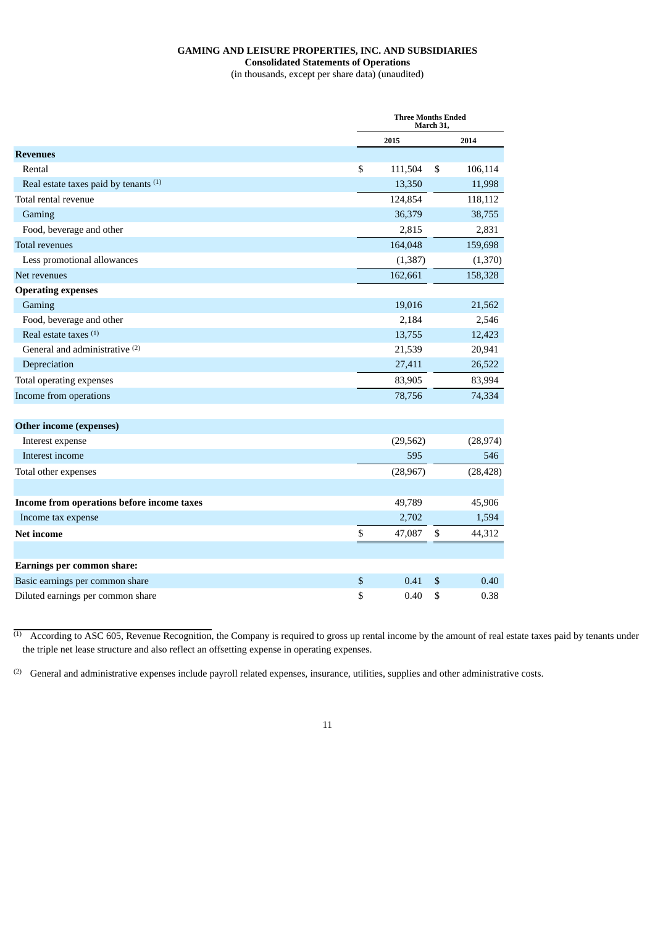# **GAMING AND LEISURE PROPERTIES, INC. AND SUBSIDIARIES**

**Consolidated Statements of Operations**

(in thousands, except per share data) (unaudited)

|                                            |               | <b>Three Months Ended</b><br>March 31, |           |  |  |  |
|--------------------------------------------|---------------|----------------------------------------|-----------|--|--|--|
|                                            | 2015          |                                        | 2014      |  |  |  |
| <b>Revenues</b>                            |               |                                        |           |  |  |  |
| Rental                                     | \$<br>111,504 | \$                                     | 106,114   |  |  |  |
| Real estate taxes paid by tenants (1)      | 13,350        |                                        | 11,998    |  |  |  |
| Total rental revenue                       | 124,854       |                                        | 118,112   |  |  |  |
| Gaming                                     | 36,379        |                                        | 38,755    |  |  |  |
| Food, beverage and other                   | 2,815         |                                        | 2,831     |  |  |  |
| <b>Total revenues</b>                      | 164,048       |                                        | 159,698   |  |  |  |
| Less promotional allowances                | (1, 387)      |                                        | (1,370)   |  |  |  |
| Net revenues                               | 162,661       |                                        | 158,328   |  |  |  |
| <b>Operating expenses</b>                  |               |                                        |           |  |  |  |
| Gaming                                     | 19,016        |                                        | 21,562    |  |  |  |
| Food, beverage and other                   | 2,184         |                                        | 2,546     |  |  |  |
| Real estate taxes <sup>(1)</sup>           | 13,755        |                                        | 12,423    |  |  |  |
| General and administrative (2)             | 21,539        |                                        | 20,941    |  |  |  |
| Depreciation                               | 27,411        |                                        | 26,522    |  |  |  |
| Total operating expenses                   | 83,905        |                                        | 83,994    |  |  |  |
| Income from operations                     | 78,756        |                                        | 74,334    |  |  |  |
|                                            |               |                                        |           |  |  |  |
| Other income (expenses)                    |               |                                        |           |  |  |  |
| Interest expense                           | (29, 562)     |                                        | (28, 974) |  |  |  |
| Interest income                            | 595           |                                        | 546       |  |  |  |
| Total other expenses                       | (28,967)      |                                        | (28, 428) |  |  |  |
|                                            |               |                                        |           |  |  |  |
| Income from operations before income taxes | 49,789        |                                        | 45,906    |  |  |  |
| Income tax expense                         | 2,702         |                                        | 1,594     |  |  |  |
| <b>Net income</b>                          | \$<br>47,087  | \$                                     | 44,312    |  |  |  |
|                                            |               |                                        |           |  |  |  |
| <b>Earnings per common share:</b>          |               |                                        |           |  |  |  |
| Basic earnings per common share            | \$<br>0.41    | \$                                     | 0.40      |  |  |  |
| Diluted earnings per common share          | \$<br>0.40    | \$                                     | 0.38      |  |  |  |
|                                            |               |                                        |           |  |  |  |

 $<sup>(1)</sup>$  According to ASC 605, Revenue Recognition, the Company is required to gross up rental income by the amount of real estate taxes paid by tenants under</sup> the triple net lease structure and also reflect an offsetting expense in operating expenses.

 $^{(2)}$  General and administrative expenses include payroll related expenses, insurance, utilities, supplies and other administrative costs.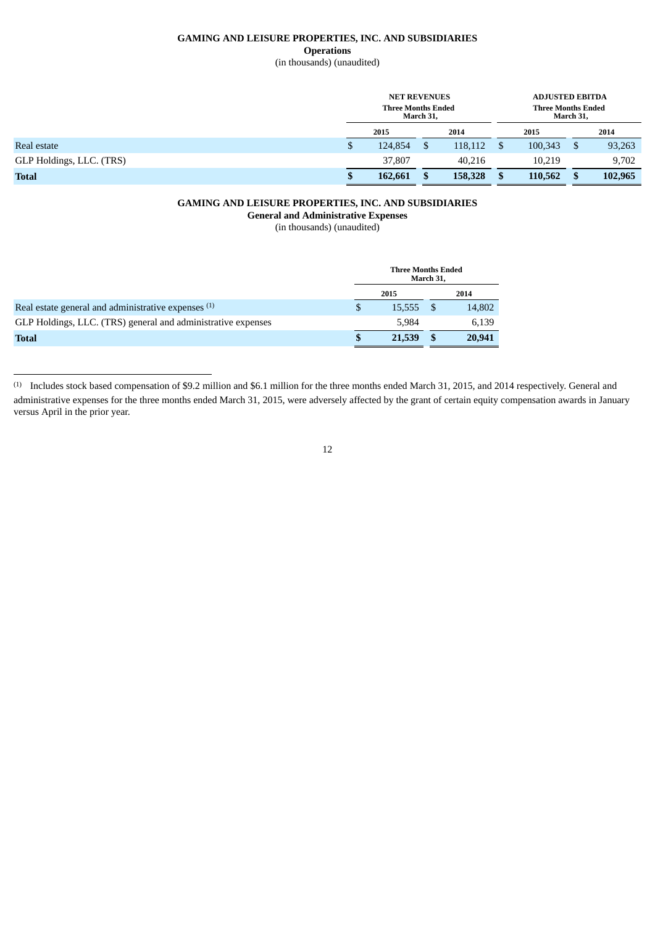#### **GAMING AND LEISURE PROPERTIES, INC. AND SUBSIDIARIES Operations**

# (in thousands) (unaudited)

|                          | <b>NET REVENUES</b><br><b>Three Months Ended</b><br>March 31, |         |  |         | <b>ADJUSTED EBITDA</b><br><b>Three Months Ended</b><br>March 31, |         |  |         |
|--------------------------|---------------------------------------------------------------|---------|--|---------|------------------------------------------------------------------|---------|--|---------|
|                          |                                                               | 2015    |  | 2014    |                                                                  | 2015    |  | 2014    |
| Real estate              | \$                                                            | 124,854 |  | 118,112 |                                                                  | 100,343 |  | 93,263  |
| GLP Holdings, LLC. (TRS) |                                                               | 37,807  |  | 40.216  |                                                                  | 10.219  |  | 9,702   |
| <b>Total</b>             | \$                                                            | 162,661 |  | 158,328 | \$                                                               | 110,562 |  | 102,965 |

## **GAMING AND LEISURE PROPERTIES, INC. AND SUBSIDIARIES**

**General and Administrative Expenses**

(in thousands) (unaudited)

|                                                              |      | <b>Three Months Ended</b> | March 31, |        |  |
|--------------------------------------------------------------|------|---------------------------|-----------|--------|--|
|                                                              | 2015 |                           |           | 2014   |  |
| Real estate general and administrative expenses (1)          |      | 15.555                    |           | 14,802 |  |
| GLP Holdings, LLC. (TRS) general and administrative expenses |      | 5.984                     |           | 6,139  |  |
| <b>Total</b>                                                 |      | 21,539                    |           | 20,941 |  |

(1) Includes stock based compensation of \$9.2 million and \$6.1 million for the three months ended March 31, 2015, and 2014 respectively. General and administrative expenses for the three months ended March 31, 2015, were adversely affected by the grant of certain equity compensation awards in January versus April in the prior year.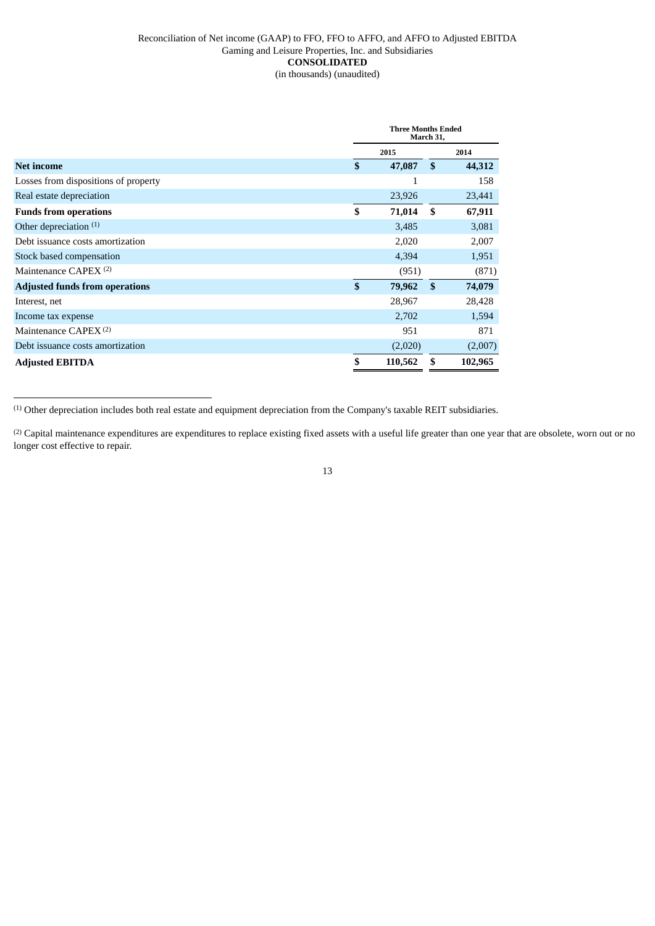#### Reconciliation of Net income (GAAP) to FFO, FFO to AFFO, and AFFO to Adjusted EBITDA Gaming and Leisure Properties, Inc. and Subsidiaries **CONSOLIDATED** (in thousands) (unaudited)

|                                       | <b>Three Months Ended</b><br>March 31, |         |              |         |  |
|---------------------------------------|----------------------------------------|---------|--------------|---------|--|
|                                       |                                        | 2015    |              | 2014    |  |
| <b>Net income</b>                     | \$                                     | 47,087  | $\mathbf{s}$ | 44,312  |  |
| Losses from dispositions of property  |                                        | 1       |              | 158     |  |
| Real estate depreciation              |                                        | 23,926  |              | 23,441  |  |
| <b>Funds from operations</b>          | \$                                     | 71,014  | \$           | 67,911  |  |
| Other depreciation $(1)$              |                                        | 3,485   |              | 3,081   |  |
| Debt issuance costs amortization      |                                        | 2,020   |              | 2,007   |  |
| Stock based compensation              |                                        | 4,394   |              | 1,951   |  |
| Maintenance CAPEX <sup>(2)</sup>      |                                        | (951)   |              | (871)   |  |
| <b>Adjusted funds from operations</b> | $\mathbf{s}$                           | 79,962  | $\mathbf{s}$ | 74,079  |  |
| Interest, net                         |                                        | 28,967  |              | 28,428  |  |
| Income tax expense                    |                                        | 2,702   |              | 1,594   |  |
| Maintenance CAPEX <sup>(2)</sup>      |                                        | 951     |              | 871     |  |
| Debt issuance costs amortization      |                                        | (2,020) |              | (2,007) |  |
| <b>Adjusted EBITDA</b>                | \$                                     | 110,562 | \$           | 102,965 |  |

(1) Other depreciation includes both real estate and equipment depreciation from the Company's taxable REIT subsidiaries.

<sup>(2)</sup> Capital maintenance expenditures are expenditures to replace existing fixed assets with a useful life greater than one year that are obsolete, worn out or no longer cost effective to repair.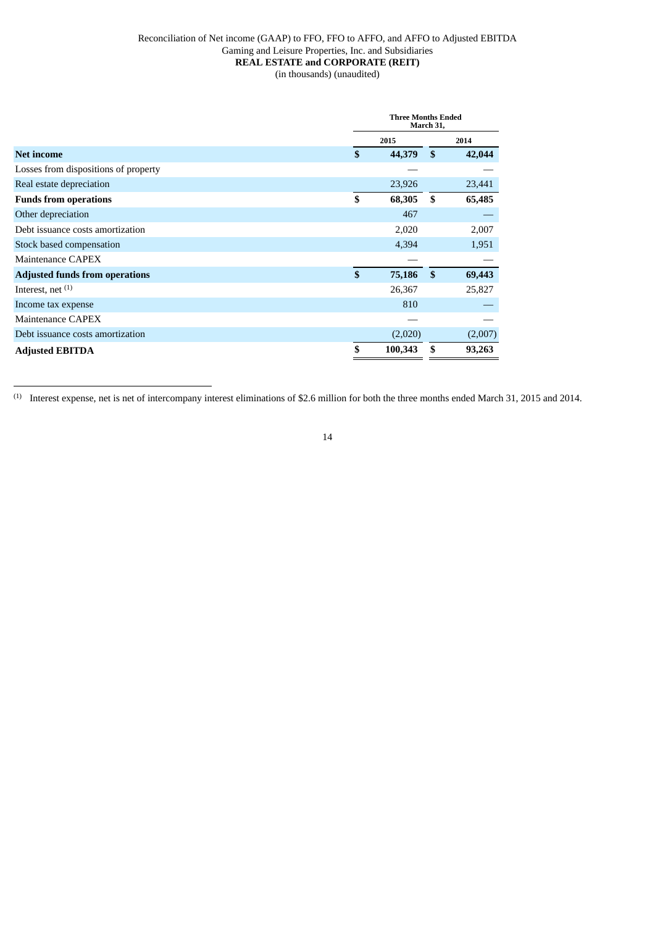#### Reconciliation of Net income (GAAP) to FFO, FFO to AFFO, and AFFO to Adjusted EBITDA Gaming and Leisure Properties, Inc. and Subsidiaries **REAL ESTATE and CORPORATE (REIT)** (in thousands) (unaudited)

|                                       | <b>Three Months Ended</b><br>March 31, |         |              |         |  |
|---------------------------------------|----------------------------------------|---------|--------------|---------|--|
|                                       |                                        | 2015    |              | 2014    |  |
| <b>Net income</b>                     | \$                                     | 44,379  | $\mathbf{s}$ | 42,044  |  |
| Losses from dispositions of property  |                                        |         |              |         |  |
| Real estate depreciation              |                                        | 23,926  |              | 23,441  |  |
| <b>Funds from operations</b>          | \$                                     | 68,305  | \$           | 65,485  |  |
| Other depreciation                    |                                        | 467     |              |         |  |
| Debt issuance costs amortization      |                                        | 2,020   |              | 2,007   |  |
| Stock based compensation              |                                        | 4,394   |              | 1,951   |  |
| Maintenance CAPEX                     |                                        |         |              |         |  |
| <b>Adjusted funds from operations</b> | \$                                     | 75,186  | $\mathbf{s}$ | 69,443  |  |
| Interest, net $(1)$                   |                                        | 26,367  |              | 25,827  |  |
| Income tax expense                    |                                        | 810     |              |         |  |
| Maintenance CAPEX                     |                                        |         |              |         |  |
| Debt issuance costs amortization      |                                        | (2,020) |              | (2,007) |  |
| <b>Adjusted EBITDA</b>                | \$                                     | 100,343 | \$           | 93,263  |  |

 $<sup>(1)</sup>$  Interest expense, net is net of intercompany interest eliminations of \$2.6 million for both the three months ended March 31, 2015 and 2014.</sup>